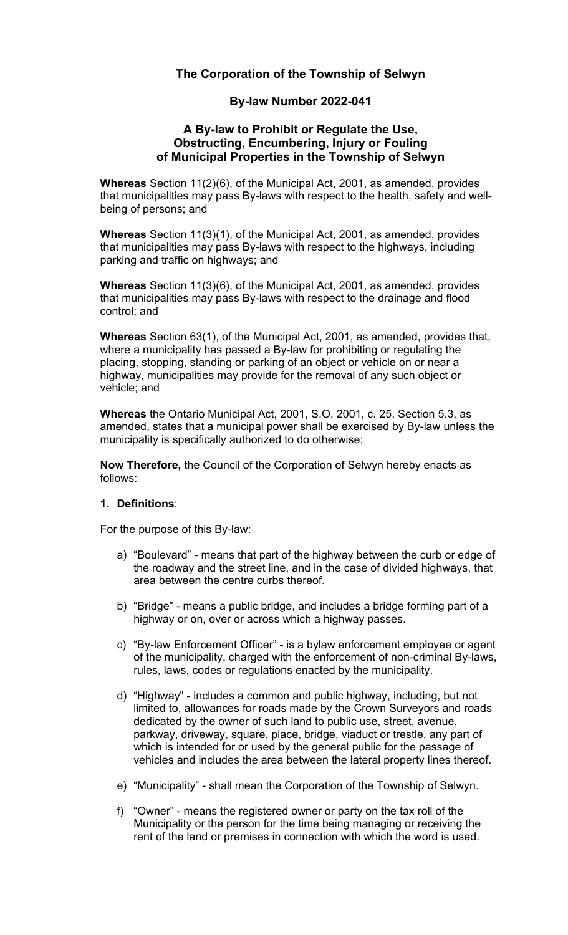# **The Corporation of the Township of Selwyn**

# **By-law Number 2022-041**

#### **A By-law to Prohibit or Regulate the Use, Obstructing, Encumbering, Injury or Fouling of Municipal Properties in the Township of Selwyn**

**Whereas** Section 11(2)(6), of the Municipal Act, 2001, as amended, provides that municipalities may pass By-laws with respect to the health, safety and wellbeing of persons; and

**Whereas** Section 11(3)(1), of the Municipal Act, 2001, as amended, provides that municipalities may pass By-laws with respect to the highways, including parking and traffic on highways; and

**Whereas** Section 11(3)(6), of the Municipal Act, 2001, as amended, provides that municipalities may pass By-laws with respect to the drainage and flood control; and

**Whereas** Section 63(1), of the Municipal Act, 2001, as amended, provides that, where a municipality has passed a By-law for prohibiting or regulating the placing, stopping, standing or parking of an object or vehicle on or near a highway, municipalities may provide for the removal of any such object or vehicle; and

**Whereas** the Ontario Municipal Act, 2001, S.O. 2001, c. 25, Section 5.3, as amended, states that a municipal power shall be exercised by By-law unless the municipality is specifically authorized to do otherwise;

**Now Therefore,** the Council of the Corporation of Selwyn hereby enacts as follows:

# **1. Definitions**:

For the purpose of this By-law:

- a) "Boulevard" means that part of the highway between the curb or edge of the roadway and the street line, and in the case of divided highways, that area between the centre curbs thereof.
- b) "Bridge" means a public bridge, and includes a bridge forming part of a highway or on, over or across which a highway passes.
- c) "By-law Enforcement Officer" is a bylaw enforcement employee or agent of the municipality, charged with the enforcement of non-criminal By-laws, rules, laws, codes or regulations enacted by the municipality.
- d) "Highway" includes a common and public highway, including, but not limited to, allowances for roads made by the Crown Surveyors and roads dedicated by the owner of such land to public use, street, avenue, parkway, driveway, square, place, bridge, viaduct or trestle, any part of which is intended for or used by the general public for the passage of vehicles and includes the area between the lateral property lines thereof.
- e) "Municipality" shall mean the Corporation of the Township of Selwyn.
- f) "Owner" means the registered owner or party on the tax roll of the Municipality or the person for the time being managing or receiving the rent of the land or premises in connection with which the word is used.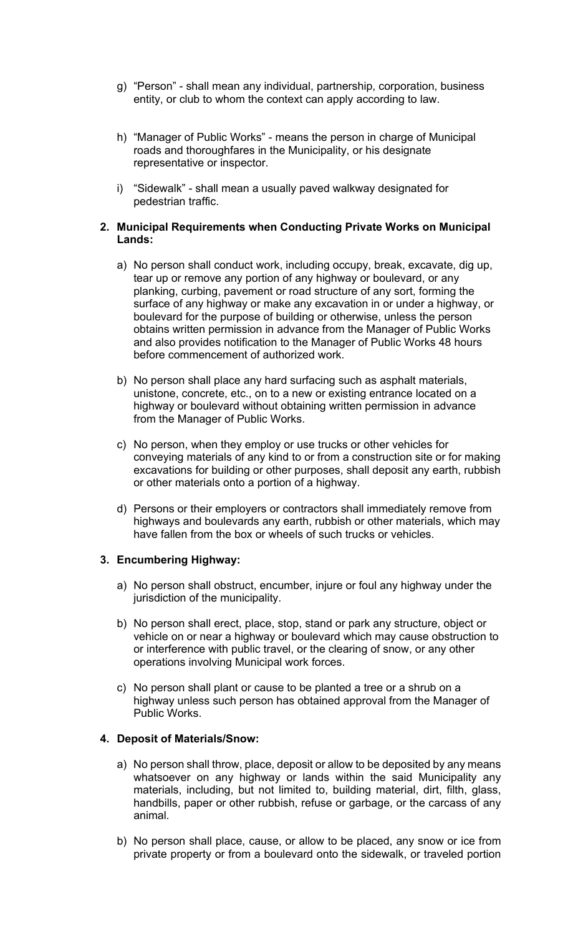- g) "Person" shall mean any individual, partnership, corporation, business entity, or club to whom the context can apply according to law.
- h) "Manager of Public Works" means the person in charge of Municipal roads and thoroughfares in the Municipality, or his designate representative or inspector.
- i) "Sidewalk" shall mean a usually paved walkway designated for pedestrian traffic.

#### **2. Municipal Requirements when Conducting Private Works on Municipal Lands:**

- a) No person shall conduct work, including occupy, break, excavate, dig up, tear up or remove any portion of any highway or boulevard, or any planking, curbing, pavement or road structure of any sort, forming the surface of any highway or make any excavation in or under a highway, or boulevard for the purpose of building or otherwise, unless the person obtains written permission in advance from the Manager of Public Works and also provides notification to the Manager of Public Works 48 hours before commencement of authorized work.
- b) No person shall place any hard surfacing such as asphalt materials, unistone, concrete, etc., on to a new or existing entrance located on a highway or boulevard without obtaining written permission in advance from the Manager of Public Works.
- c) No person, when they employ or use trucks or other vehicles for conveying materials of any kind to or from a construction site or for making excavations for building or other purposes, shall deposit any earth, rubbish or other materials onto a portion of a highway.
- d) Persons or their employers or contractors shall immediately remove from highways and boulevards any earth, rubbish or other materials, which may have fallen from the box or wheels of such trucks or vehicles.

# **3. Encumbering Highway:**

- a) No person shall obstruct, encumber, injure or foul any highway under the jurisdiction of the municipality.
- b) No person shall erect, place, stop, stand or park any structure, object or vehicle on or near a highway or boulevard which may cause obstruction to or interference with public travel, or the clearing of snow, or any other operations involving Municipal work forces.
- c) No person shall plant or cause to be planted a tree or a shrub on a highway unless such person has obtained approval from the Manager of Public Works.

# **4. Deposit of Materials/Snow:**

- a) No person shall throw, place, deposit or allow to be deposited by any means whatsoever on any highway or lands within the said Municipality any materials, including, but not limited to, building material, dirt, filth, glass, handbills, paper or other rubbish, refuse or garbage, or the carcass of any animal.
- b) No person shall place, cause, or allow to be placed, any snow or ice from private property or from a boulevard onto the sidewalk, or traveled portion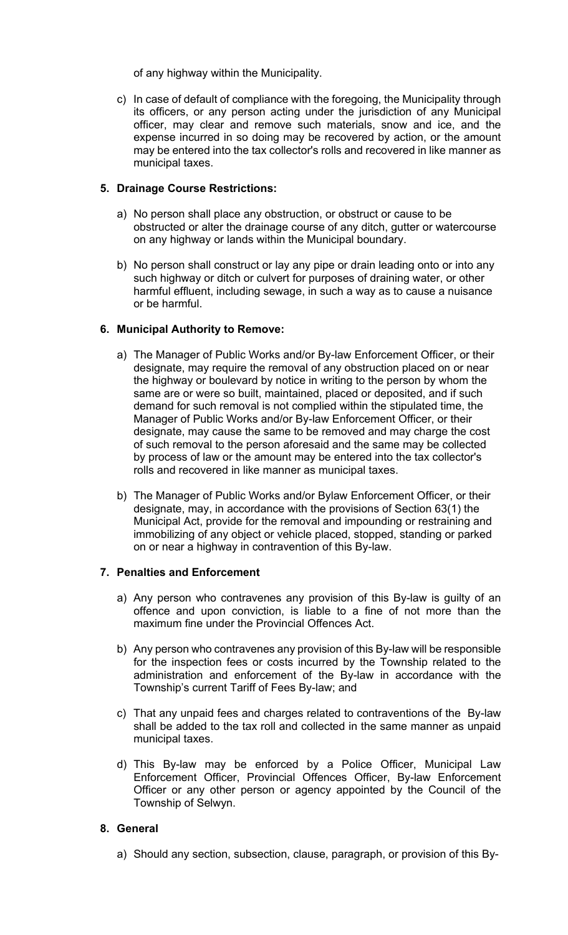of any highway within the Municipality.

c) In case of default of compliance with the foregoing, the Municipality through its officers, or any person acting under the jurisdiction of any Municipal officer, may clear and remove such materials, snow and ice, and the expense incurred in so doing may be recovered by action, or the amount may be entered into the tax collector's rolls and recovered in like manner as municipal taxes.

# **5. Drainage Course Restrictions:**

- a) No person shall place any obstruction, or obstruct or cause to be obstructed or alter the drainage course of any ditch, gutter or watercourse on any highway or lands within the Municipal boundary.
- b) No person shall construct or lay any pipe or drain leading onto or into any such highway or ditch or culvert for purposes of draining water, or other harmful effluent, including sewage, in such a way as to cause a nuisance or be harmful.

#### **6. Municipal Authority to Remove:**

- a) The Manager of Public Works and/or By-law Enforcement Officer, or their designate, may require the removal of any obstruction placed on or near the highway or boulevard by notice in writing to the person by whom the same are or were so built, maintained, placed or deposited, and if such demand for such removal is not complied within the stipulated time, the Manager of Public Works and/or By-law Enforcement Officer, or their designate, may cause the same to be removed and may charge the cost of such removal to the person aforesaid and the same may be collected by process of law or the amount may be entered into the tax collector's rolls and recovered in like manner as municipal taxes.
- b) The Manager of Public Works and/or Bylaw Enforcement Officer, or their designate, may, in accordance with the provisions of Section 63(1) the Municipal Act, provide for the removal and impounding or restraining and immobilizing of any object or vehicle placed, stopped, standing or parked on or near a highway in contravention of this By-law.

# **7. Penalties and Enforcement**

- a) Any person who contravenes any provision of this By-law is guilty of an offence and upon conviction, is liable to a fine of not more than the maximum fine under the Provincial Offences Act.
- b) Any person who contravenes any provision of this By-law will be responsible for the inspection fees or costs incurred by the Township related to the administration and enforcement of the By-law in accordance with the Township's current Tariff of Fees By-law; and
- c) That any unpaid fees and charges related to contraventions of the By-law shall be added to the tax roll and collected in the same manner as unpaid municipal taxes.
- d) This By-law may be enforced by a Police Officer, Municipal Law Enforcement Officer, Provincial Offences Officer, By-law Enforcement Officer or any other person or agency appointed by the Council of the Township of Selwyn.

# **8. General**

a) Should any section, subsection, clause, paragraph, or provision of this By-